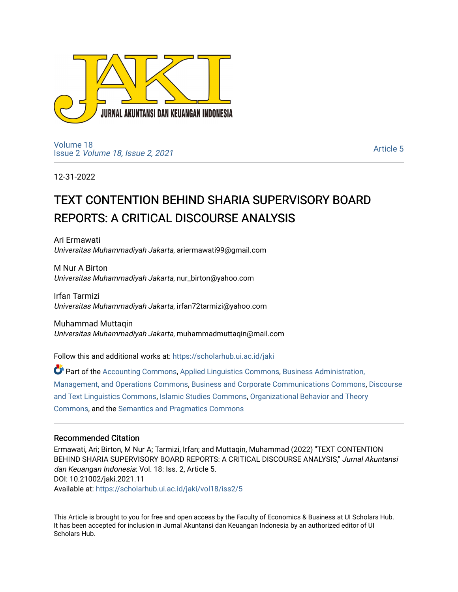

[Volume 18](https://scholarhub.ui.ac.id/jaki/vol18) Issue 2 [Volume 18, Issue 2, 2021](https://scholarhub.ui.ac.id/jaki/vol18/iss2) 

[Article 5](https://scholarhub.ui.ac.id/jaki/vol18/iss2/5) 

12-31-2022

# TEXT CONTENTION BEHIND SHARIA SUPERVISORY BOARD REPORTS: A CRITICAL DISCOURSE ANALYSIS

Ari Ermawati Universitas Muhammadiyah Jakarta, ariermawati99@gmail.com

M Nur A Birton Universitas Muhammadiyah Jakarta, nur\_birton@yahoo.com

Irfan Tarmizi Universitas Muhammadiyah Jakarta, irfan72tarmizi@yahoo.com

Muhammad Muttaqin Universitas Muhammadiyah Jakarta, muhammadmuttaqin@mail.com

Follow this and additional works at: [https://scholarhub.ui.ac.id/jaki](https://scholarhub.ui.ac.id/jaki?utm_source=scholarhub.ui.ac.id%2Fjaki%2Fvol18%2Fiss2%2F5&utm_medium=PDF&utm_campaign=PDFCoverPages) 

Part of the [Accounting Commons](https://network.bepress.com/hgg/discipline/625?utm_source=scholarhub.ui.ac.id%2Fjaki%2Fvol18%2Fiss2%2F5&utm_medium=PDF&utm_campaign=PDFCoverPages), [Applied Linguistics Commons,](https://network.bepress.com/hgg/discipline/373?utm_source=scholarhub.ui.ac.id%2Fjaki%2Fvol18%2Fiss2%2F5&utm_medium=PDF&utm_campaign=PDFCoverPages) [Business Administration,](https://network.bepress.com/hgg/discipline/623?utm_source=scholarhub.ui.ac.id%2Fjaki%2Fvol18%2Fiss2%2F5&utm_medium=PDF&utm_campaign=PDFCoverPages) [Management, and Operations Commons](https://network.bepress.com/hgg/discipline/623?utm_source=scholarhub.ui.ac.id%2Fjaki%2Fvol18%2Fiss2%2F5&utm_medium=PDF&utm_campaign=PDFCoverPages), [Business and Corporate Communications Commons](https://network.bepress.com/hgg/discipline/627?utm_source=scholarhub.ui.ac.id%2Fjaki%2Fvol18%2Fiss2%2F5&utm_medium=PDF&utm_campaign=PDFCoverPages), [Discourse](https://network.bepress.com/hgg/discipline/376?utm_source=scholarhub.ui.ac.id%2Fjaki%2Fvol18%2Fiss2%2F5&utm_medium=PDF&utm_campaign=PDFCoverPages)  [and Text Linguistics Commons](https://network.bepress.com/hgg/discipline/376?utm_source=scholarhub.ui.ac.id%2Fjaki%2Fvol18%2Fiss2%2F5&utm_medium=PDF&utm_campaign=PDFCoverPages), [Islamic Studies Commons](https://network.bepress.com/hgg/discipline/1346?utm_source=scholarhub.ui.ac.id%2Fjaki%2Fvol18%2Fiss2%2F5&utm_medium=PDF&utm_campaign=PDFCoverPages), [Organizational Behavior and Theory](https://network.bepress.com/hgg/discipline/639?utm_source=scholarhub.ui.ac.id%2Fjaki%2Fvol18%2Fiss2%2F5&utm_medium=PDF&utm_campaign=PDFCoverPages) [Commons](https://network.bepress.com/hgg/discipline/639?utm_source=scholarhub.ui.ac.id%2Fjaki%2Fvol18%2Fiss2%2F5&utm_medium=PDF&utm_campaign=PDFCoverPages), and the [Semantics and Pragmatics Commons](https://network.bepress.com/hgg/discipline/383?utm_source=scholarhub.ui.ac.id%2Fjaki%2Fvol18%2Fiss2%2F5&utm_medium=PDF&utm_campaign=PDFCoverPages)

## Recommended Citation

Ermawati, Ari; Birton, M Nur A; Tarmizi, Irfan; and Muttaqin, Muhammad (2022) "TEXT CONTENTION BEHIND SHARIA SUPERVISORY BOARD REPORTS: A CRITICAL DISCOURSE ANALYSIS," Jurnal Akuntansi dan Keuangan Indonesia: Vol. 18: Iss. 2, Article 5. DOI: 10.21002/jaki.2021.11 Available at: [https://scholarhub.ui.ac.id/jaki/vol18/iss2/5](https://scholarhub.ui.ac.id/jaki/vol18/iss2/5?utm_source=scholarhub.ui.ac.id%2Fjaki%2Fvol18%2Fiss2%2F5&utm_medium=PDF&utm_campaign=PDFCoverPages) 

This Article is brought to you for free and open access by the Faculty of Economics & Business at UI Scholars Hub. It has been accepted for inclusion in Jurnal Akuntansi dan Keuangan Indonesia by an authorized editor of UI Scholars Hub.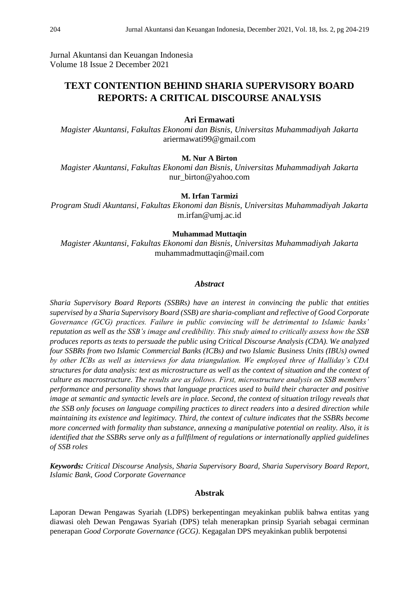Jurnal Akuntansi dan Keuangan Indonesia Volume 18 Issue 2 December 2021

# **TEXT CONTENTION BEHIND SHARIA SUPERVISORY BOARD REPORTS: A CRITICAL DISCOURSE ANALYSIS**

#### **Ari Ermawati**

*Magister Akuntansi, Fakultas Ekonomi dan Bisnis, Universitas Muhammadiyah Jakarta* ariermawati99@gmail.com

#### **M. Nur A Birton**

*Magister Akuntansi, Fakultas Ekonomi dan Bisnis, Universitas Muhammadiyah Jakarta* nur\_birton@yahoo.com

#### **M. Irfan Tarmizi**

*Program Studi Akuntansi, Fakultas Ekonomi dan Bisnis, Universitas Muhammadiyah Jakarta* m.irfan@umj.ac.id

#### **Muhammad Muttaqin**

*Magister Akuntansi, Fakultas Ekonomi dan Bisnis, Universitas Muhammadiyah Jakarta* muhammadmuttaqin@mail.com

#### *Abstract*

*Sharia Supervisory Board Reports (SSBRs) have an interest in convincing the public that entities supervised by a Sharia Supervisory Board (SSB) are sharia-compliant and reflective of Good Corporate Governance (GCG) practices. Failure in public convincing will be detrimental to Islamic banks' reputation as well as the SSB's image and credibility. This study aimed to critically assess how the SSB produces reports as texts to persuade the public using Critical Discourse Analysis (CDA). We analyzed four SSBRs from two Islamic Commercial Banks (ICBs) and two Islamic Business Units (IBUs) owned by other ICBs as well as interviews for data triangulation. We employed three of Halliday's CDA structures for data analysis: text as microstructure as well as the context of situation and the context of culture as macrostructure. The results are as follows. First, microstructure analysis on SSB members' performance and personality shows that language practices used to build their character and positive image at semantic and syntactic levels are in place. Second, the context of situation trilogy reveals that the SSB only focuses on language compiling practices to direct readers into a desired direction while maintaining its existence and legitimacy. Third, the context of culture indicates that the SSBRs become more concerned with formality than substance, annexing a manipulative potential on reality. Also, it is identified that the SSBRs serve only as a fullfilment of regulations or internationally applied guidelines of SSB roles*

*Keywords: Critical Discourse Analysis, Sharia Supervisory Board, Sharia Supervisory Board Report, Islamic Bank, Good Corporate Governance*

#### **Abstrak**

Laporan Dewan Pengawas Syariah (LDPS) berkepentingan meyakinkan publik bahwa entitas yang diawasi oleh Dewan Pengawas Syariah (DPS) telah menerapkan prinsip Syariah sebagai cerminan penerapan *Good Corporate Governance (GCG)*. Kegagalan DPS meyakinkan publik berpotensi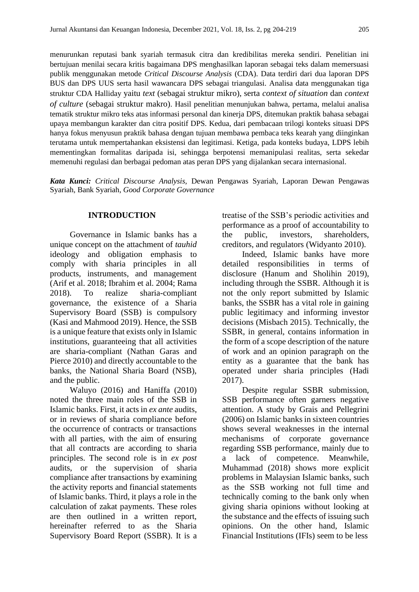menurunkan reputasi bank syariah termasuk citra dan kredibilitas mereka sendiri. Penelitian ini bertujuan menilai secara kritis bagaimana DPS menghasilkan laporan sebagai teks dalam memersuasi publik menggunakan metode *Critical Discourse Analysis* (CDA). Data terdiri dari dua laporan DPS BUS dan DPS UUS serta hasil wawancara DPS sebagai triangulasi. Analisa data menggunakan tiga struktur CDA Halliday yaitu *text* (sebagai struktur mikro), serta *context of situation* dan *context of culture* (sebagai struktur makro). Hasil penelitian menunjukan bahwa, pertama, melalui analisa tematik struktur mikro teks atas informasi personal dan kinerja DPS, ditemukan praktik bahasa sebagai upaya membangun karakter dan citra positif DPS. Kedua, dari pembacaan trilogi konteks situasi DPS hanya fokus menyusun praktik bahasa dengan tujuan membawa pembaca teks kearah yang diinginkan terutama untuk mempertahankan eksistensi dan legitimasi. Ketiga, pada konteks budaya, LDPS lebih mementingkan formalitas daripada isi, sehingga berpotensi memanipulasi realitas, serta sekedar memenuhi regulasi dan berbagai pedoman atas peran DPS yang dijalankan secara internasional.

*Kata Kunci: Critical Discourse Analysis,* Dewan Pengawas Syariah*,* Laporan Dewan Pengawas Syariah*,* Bank Syariah*, Good Corporate Governance*

#### **INTRODUCTION**

Governance in Islamic banks has a unique concept on the attachment of *tauhid*  ideology and obligation emphasis to comply with sharia principles in all products, instruments, and management (Arif et al. 2018; Ibrahim et al. 2004; Rama 2018). To realize sharia-compliant governance, the existence of a Sharia Supervisory Board (SSB) is compulsory (Kasi and Mahmood 2019). Hence, the SSB is a unique feature that exists only in Islamic institutions, guaranteeing that all activities are sharia-compliant (Nathan Garas and Pierce 2010) and directly accountable to the banks, the National Sharia Board (NSB), and the public.

Waluyo (2016) and Haniffa (2010) noted the three main roles of the SSB in Islamic banks. First, it acts in *ex ante* audits, or in reviews of sharia compliance before the occurrence of contracts or transactions with all parties, with the aim of ensuring that all contracts are according to sharia principles. The second role is in *ex post* audits, or the supervision of sharia compliance after transactions by examining the activity reports and financial statements of Islamic banks. Third, it plays a role in the calculation of zakat payments. These roles are then outlined in a written report, hereinafter referred to as the Sharia Supervisory Board Report (SSBR). It is a treatise of the SSB's periodic activities and performance as a proof of accountability to the public, investors, shareholders, creditors, and regulators (Widyanto 2010).

Indeed, Islamic banks have more detailed responsibilities in terms of disclosure (Hanum and Sholihin 2019), including through the SSBR. Although it is not the only report submitted by Islamic banks, the SSBR has a vital role in gaining public legitimacy and informing investor decisions (Misbach 2015). Technically, the SSBR, in general, contains information in the form of a scope description of the nature of work and an opinion paragraph on the entity as a guarantee that the bank has operated under sharia principles (Hadi 2017).

Despite regular SSBR submission, SSB performance often garners negative attention. A study by Grais and Pellegrini (2006) on Islamic banks in sixteen countries shows several weaknesses in the internal mechanisms of corporate governance regarding SSB performance, mainly due to a lack of competence. Meanwhile, Muhammad (2018) shows more explicit problems in Malaysian Islamic banks, such as the SSB working not full time and technically coming to the bank only when giving sharia opinions without looking at the substance and the effects of issuing such opinions. On the other hand, Islamic Financial Institutions (IFIs) seem to be less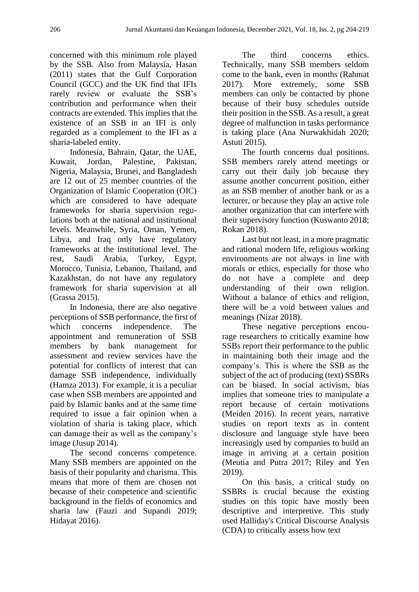concerned with this minimum role played by the SSB. Also from Malaysia, Hasan (2011) states that the Gulf Corporation Council (GCC) and the UK find that IFIs rarely review or evaluate the SSB's contribution and performance when their contracts are extended. This implies that the existence of an SSB in an IFI is only regarded as a complement to the IFI as a sharia-labeled entity.

Indonesia, Bahrain, Qatar, the UAE, Kuwait, Jordan, Palestine, Pakistan, Nigeria, Malaysia, Brunei, and Bangladesh are 12 out of 25 member countries of the Organization of Islamic Cooperation (OIC) which are considered to have adequate frameworks for sharia supervision regulations both at the national and institutional levels. Meanwhile, Syria, Oman, Yemen, Libya, and Iraq only have regulatory frameworks at the institutional level. The rest, Saudi Arabia, Turkey, Egypt, Morocco, Tunisia, Lebanon, Thailand, and Kazakhstan, do not have any regulatory framework for sharia supervision at all (Grassa 2015).

In Indonesia, there are also negative perceptions of SSB performance, the first of which concerns independence. The appointment and remuneration of SSB members by bank management for assessment and review services have the potential for conflicts of interest that can damage SSB independence, individually (Hamza 2013). For example, it is a peculiar case when SSB members are appointed and paid by Islamic banks and at the same time required to issue a fair opinion when a violation of sharia is taking place, which can damage their as well as the company's image (Jusup 2014).

The second concerns competence. Many SSB members are appointed on the basis of their popularity and charisma. This means that more of them are chosen not because of their competence and scientific background in the fields of economics and sharia law (Fauzi and Supandi 2019; Hidayat 2016).

The third concerns ethics. Technically, many SSB members seldom come to the bank, even in months (Rahmat 2017). More extremely, some SSB members can only be contacted by phone because of their busy schedules outside their position in the SSB. As a result, a great degree of malfunction in tasks performance is taking place (Ana Nurwakhidah 2020; Astuti 2015).

The fourth concerns dual positions. SSB members rarely attend meetings or carry out their daily job because they assume another concurrent position, either as an SSB member of another bank or as a lecturer, or because they play an active role another organization that can interfere with their supervisory function (Kuswanto 2018; Rokan 2018).

Last but not least, in a more pragmatic and rational modern life, religious working environments are not always in line with morals or ethics, especially for those who do not have a complete and deep understanding of their own religion. Without a balance of ethics and religion, there will be a void between values and meanings (Nizar 2018).

These negative perceptions encourage researchers to critically examine how SSBs report their performance to the public in maintaining both their image and the company's. This is where the SSB as the subject of the act of producing (text) SSBRs can be biased. In social activism, bias implies that someone tries to manipulate a report because of certain motivations (Meiden 2016). In recent years, narrative studies on report texts as in content disclosure and language style have been increasingly used by companies to build an image in arriving at a certain position (Meutia and Putra 2017; Riley and Yen 2019).

On this basis, a critical study on SSBRs is crucial because the existing studies on this topic have mostly been descriptive and interpretive. This study used Halliday's Critical Discourse Analysis (CDA) to critically assess how text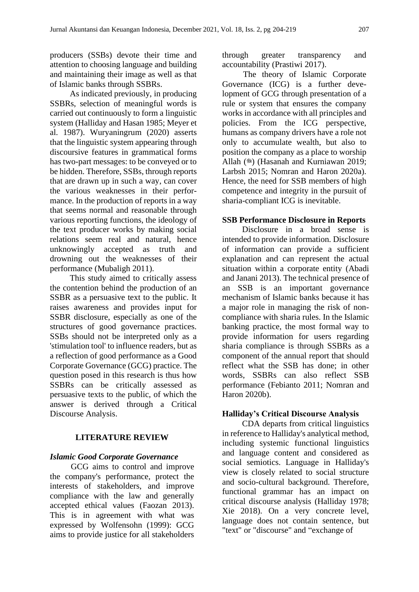producers (SSBs) devote their time and attention to choosing language and building and maintaining their image as well as that of Islamic banks through SSBRs.

As indicated previously, in producing SSBRs, selection of meaningful words is carried out continuously to form a linguistic system (Halliday and Hasan 1985; Meyer et al. 1987). Wuryaningrum (2020) asserts that the linguistic system appearing through discoursive features in grammatical forms has two-part messages: to be conveyed or to be hidden. Therefore, SSBs, through reports that are drawn up in such a way, can cover the various weaknesses in their performance. In the production of reports in a way that seems normal and reasonable through various reporting functions, the ideology of the text producer works by making social relations seem real and natural, hence unknowingly accepted as truth and drowning out the weaknesses of their performance (Mubaligh 2011).

This study aimed to critically assess the contention behind the production of an SSBR as a persuasive text to the public. It raises awareness and provides input for SSBR disclosure, especially as one of the structures of good governance practices. SSBs should not be interpreted only as a 'stimulation tool' to influence readers, but as a reflection of good performance as a Good Corporate Governance (GCG) practice. The question posed in this research is thus how SSBRs can be critically assessed as persuasive texts to the public, of which the answer is derived through a Critical Discourse Analysis.

## **LITERATURE REVIEW**

## *Islamic Good Corporate Governance*

GCG aims to control and improve the company's performance, protect the interests of stakeholders, and improve compliance with the law and generally accepted ethical values (Faozan 2013). This is in agreement with what was expressed by Wolfensohn (1999): GCG aims to provide justice for all stakeholders through greater transparency and accountability (Prastiwi 2017).

The theory of Islamic Corporate Governance (ICG) is a further development of GCG through presentation of a rule or system that ensures the company works in accordance with all principles and policies. From the ICG perspective, humans as company drivers have a role not only to accumulate wealth, but also to position the company as a place to worship Allah  $(\mathscr{E})$  (Hasanah and Kurniawan 2019; Larbsh 2015; Nomran and Haron 2020a). Hence, the need for SSB members of high competence and integrity in the pursuit of sharia-compliant ICG is inevitable.

## **SSB Performance Disclosure in Reports**

Disclosure in a broad sense is intended to provide information. Disclosure of information can provide a sufficient explanation and can represent the actual situation within a corporate entity (Abadi and Janani 2013). The technical presence of an SSB is an important governance mechanism of Islamic banks because it has a major role in managing the risk of noncompliance with sharia rules. In the Islamic banking practice, the most formal way to provide information for users regarding sharia compliance is through SSBRs as a component of the annual report that should reflect what the SSB has done; in other words, SSBRs can also reflect SSB performance (Febianto 2011; Nomran and Haron 2020b).

## **Halliday's Critical Discourse Analysis**

CDA departs from critical linguistics in reference to Halliday's analytical method, including systemic functional linguistics and language content and considered as social semiotics. Language in Halliday's view is closely related to social structure and socio-cultural background. Therefore, functional grammar has an impact on critical discourse analysis (Halliday 1978; Xie 2018). On a very concrete level, language does not contain sentence, but "text" or "discourse" and "exchange of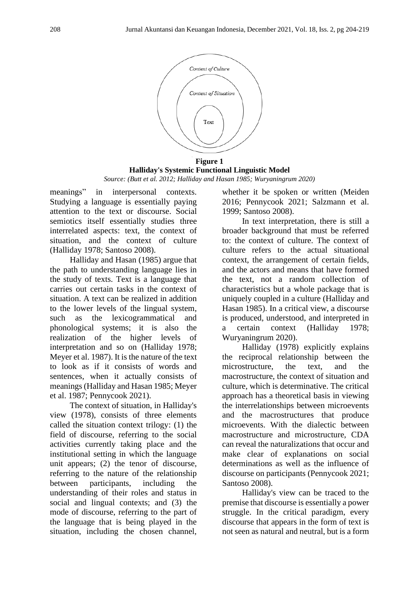

**Halliday's Systemic Functional Linguistic Model** *Source: (Butt et al. 2012; Halliday and Hasan 1985; Wuryaningrum 2020)*

meanings" in interpersonal contexts. Studying a language is essentially paying attention to the text or discourse. Social semiotics itself essentially studies three interrelated aspects: text, the context of situation, and the context of culture (Halliday 1978; Santoso 2008).

Halliday and Hasan (1985) argue that the path to understanding language lies in the study of texts. Text is a language that carries out certain tasks in the context of situation. A text can be realized in addition to the lower levels of the lingual system, such as the lexicogrammatical and phonological systems; it is also the realization of the higher levels of interpretation and so on (Halliday 1978; Meyer et al. 1987). It is the nature of the text to look as if it consists of words and sentences, when it actually consists of meanings(Halliday and Hasan 1985; Meyer et al. 1987; Pennycook 2021).

The context of situation, in Halliday's view (1978), consists of three elements called the situation context trilogy: (1) the field of discourse, referring to the social activities currently taking place and the institutional setting in which the language unit appears; (2) the tenor of discourse, referring to the nature of the relationship between participants, including the understanding of their roles and status in social and lingual contexts; and (3) the mode of discourse, referring to the part of the language that is being played in the situation, including the chosen channel,

whether it be spoken or written (Meiden 2016; Pennycook 2021; Salzmann et al. 1999; Santoso 2008).

In text interpretation, there is still a broader background that must be referred to: the context of culture. The context of culture refers to the actual situational context, the arrangement of certain fields, and the actors and means that have formed the text, not a random collection of characteristics but a whole package that is uniquely coupled in a culture (Halliday and Hasan 1985). In a critical view, a discourse is produced, understood, and interpreted in a certain context (Halliday 1978; Wuryaningrum 2020).

Halliday (1978) explicitly explains the reciprocal relationship between the microstructure, the text, and the macrostructure, the context of situation and culture, which is determinative. The critical approach has a theoretical basis in viewing the interrelationships between microevents and the macrostructures that produce microevents. With the dialectic between macrostructure and microstructure, CDA can reveal the naturalizations that occur and make clear of explanations on social determinations as well as the influence of discourse on participants (Pennycook 2021; Santoso 2008).

Halliday's view can be traced to the premise that discourse is essentially a power struggle. In the critical paradigm, every discourse that appears in the form of text is not seen as natural and neutral, but is a form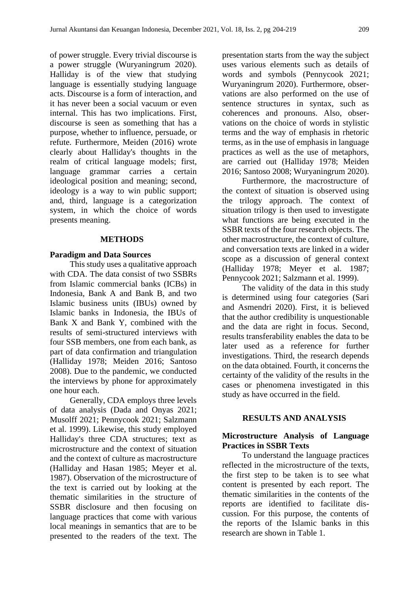of power struggle. Every trivial discourse is a power struggle (Wuryaningrum 2020). Halliday is of the view that studying language is essentially studying language acts. Discourse is a form of interaction, and it has never been a social vacuum or even internal. This has two implications. First, discourse is seen as something that has a purpose, whether to influence, persuade, or refute. Furthermore, Meiden (2016) wrote clearly about Halliday's thoughts in the realm of critical language models; first, language grammar carries a certain ideological position and meaning; second, ideology is a way to win public support; and, third, language is a categorization system, in which the choice of words presents meaning.

#### **METHODS**

#### **Paradigm and Data Sources**

This study uses a qualitative approach with CDA. The data consist of two SSBRs from Islamic commercial banks (ICBs) in Indonesia, Bank A and Bank B, and two Islamic business units (IBUs) owned by Islamic banks in Indonesia, the IBUs of Bank X and Bank Y, combined with the results of semi-structured interviews with four SSB members, one from each bank, as part of data confirmation and triangulation (Halliday 1978; Meiden 2016; Santoso 2008). Due to the pandemic, we conducted the interviews by phone for approximately one hour each.

Generally, CDA employs three levels of data analysis (Dada and Onyas 2021; Musolff 2021; Pennycook 2021; Salzmann et al. 1999). Likewise, this study employed Halliday's three CDA structures; text as microstructure and the context of situation and the context of culture as macrostructure (Halliday and Hasan 1985; Meyer et al. 1987). Observation of the microstructure of the text is carried out by looking at the thematic similarities in the structure of SSBR disclosure and then focusing on language practices that come with various local meanings in semantics that are to be presented to the readers of the text. The

presentation starts from the way the subject uses various elements such as details of words and symbols (Pennycook 2021; Wuryaningrum 2020). Furthermore, observations are also performed on the use of sentence structures in syntax, such as coherences and pronouns. Also, observations on the choice of words in stylistic terms and the way of emphasis in rhetoric terms, as in the use of emphasis in language practices as well as the use of metaphors, are carried out (Halliday 1978; Meiden 2016; Santoso 2008; Wuryaningrum 2020).

Furthermore, the macrostructure of the context of situation is observed using the trilogy approach. The context of situation trilogy is then used to investigate what functions are being executed in the SSBR texts of the four research objects. The other macrostructure, the context of culture, and conversation texts are linked in a wider scope as a discussion of general context (Halliday 1978; Meyer et al. 1987; Pennycook 2021; Salzmann et al. 1999).

The validity of the data in this study is determined using four categories (Sari and Asmendri 2020). First, it is believed that the author credibility is unquestionable and the data are right in focus. Second, results transferability enables the data to be later used as a reference for further investigations. Third, the research depends on the data obtained. Fourth, it concerns the certainty of the validity of the results in the cases or phenomena investigated in this study as have occurred in the field.

#### **RESULTS AND ANALYSIS**

## **Microstructure Analysis of Language Practices in SSBR Texts**

To understand the language practices reflected in the microstructure of the texts, the first step to be taken is to see what content is presented by each report. The thematic similarities in the contents of the reports are identified to facilitate discussion. For this purpose, the contents of the reports of the Islamic banks in this research are shown in Table 1.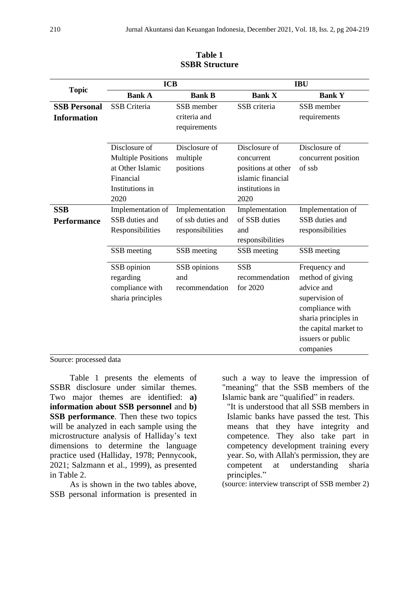| <b>Topic</b>                              | <b>ICB</b>                                                                                             |                                                         | <b>IBU</b>                                                                                        |                                                                                                                                                                         |  |
|-------------------------------------------|--------------------------------------------------------------------------------------------------------|---------------------------------------------------------|---------------------------------------------------------------------------------------------------|-------------------------------------------------------------------------------------------------------------------------------------------------------------------------|--|
|                                           | <b>Bank A</b>                                                                                          | <b>Bank B</b>                                           | <b>Bank X</b>                                                                                     | <b>Bank Y</b>                                                                                                                                                           |  |
| <b>SSB Personal</b><br><b>Information</b> | <b>SSB</b> Criteria                                                                                    | SSB member<br>criteria and<br>requirements              | SSB criteria                                                                                      | SSB member<br>requirements                                                                                                                                              |  |
|                                           | Disclosure of<br><b>Multiple Positions</b><br>at Other Islamic<br>Financial<br>Institutions in<br>2020 | Disclosure of<br>multiple<br>positions                  | Disclosure of<br>concurrent<br>positions at other<br>islamic financial<br>institutions in<br>2020 | Disclosure of<br>concurrent position<br>of ssb                                                                                                                          |  |
| <b>SSB</b><br><b>Performance</b>          | Implementation of<br>SSB duties and<br>Responsibilities                                                | Implementation<br>of ssb duties and<br>responsibilities | Implementation<br>of SSB duties<br>and<br>responsibilities                                        | Implementation of<br>SSB duties and<br>responsibilities                                                                                                                 |  |
|                                           | SSB meeting                                                                                            | SSB meeting                                             | SSB meeting                                                                                       | SSB meeting                                                                                                                                                             |  |
|                                           | SSB opinion<br>regarding<br>compliance with<br>sharia principles                                       | SSB opinions<br>and<br>recommendation                   | <b>SSB</b><br>recommendation<br>for 2020                                                          | Frequency and<br>method of giving<br>advice and<br>supervision of<br>compliance with<br>sharia principles in<br>the capital market to<br>issuers or public<br>companies |  |

**Table 1 SSBR Structure**

Source: processed data

Table 1 presents the elements of SSBR disclosure under similar themes. Two major themes are identified: **a) information about SSB personnel** and **b) SSB performance**. Then these two topics will be analyzed in each sample using the microstructure analysis of Halliday's text dimensions to determine the language practice used (Halliday, 1978; Pennycook, 2021; Salzmann et al., 1999), as presented in Table 2.

As is shown in the two tables above, SSB personal information is presented in such a way to leave the impression of "meaning" that the SSB members of the Islamic bank are "qualified" in readers.

"It is understood that all SSB members in Islamic banks have passed the test. This means that they have integrity and competence. They also take part in competency development training every year. So, with Allah's permission, they are competent at understanding sharia principles."

(source: interview transcript of SSB member 2)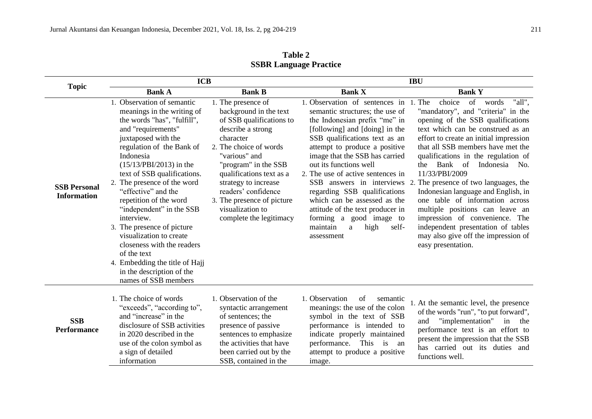| <b>Topic</b>                              | <b>ICB</b>                                                                                                                                                                                                                                                                                                                                                                                                                                                                                                                                                        |                                                                                                                                                                                                                                                                                                                                       | <b>IBU</b>                                                                                                                                                                                                                                                                                                                                                                                                                                                                             |                                                                                                                                                                                                                                                                                                                                                                                                                                                                                                                                                                                                                                                           |
|-------------------------------------------|-------------------------------------------------------------------------------------------------------------------------------------------------------------------------------------------------------------------------------------------------------------------------------------------------------------------------------------------------------------------------------------------------------------------------------------------------------------------------------------------------------------------------------------------------------------------|---------------------------------------------------------------------------------------------------------------------------------------------------------------------------------------------------------------------------------------------------------------------------------------------------------------------------------------|----------------------------------------------------------------------------------------------------------------------------------------------------------------------------------------------------------------------------------------------------------------------------------------------------------------------------------------------------------------------------------------------------------------------------------------------------------------------------------------|-----------------------------------------------------------------------------------------------------------------------------------------------------------------------------------------------------------------------------------------------------------------------------------------------------------------------------------------------------------------------------------------------------------------------------------------------------------------------------------------------------------------------------------------------------------------------------------------------------------------------------------------------------------|
|                                           | <b>Bank A</b>                                                                                                                                                                                                                                                                                                                                                                                                                                                                                                                                                     | <b>Bank B</b>                                                                                                                                                                                                                                                                                                                         | <b>Bank X</b>                                                                                                                                                                                                                                                                                                                                                                                                                                                                          | <b>Bank Y</b>                                                                                                                                                                                                                                                                                                                                                                                                                                                                                                                                                                                                                                             |
| <b>SSB Personal</b><br><b>Information</b> | 1. Observation of semantic<br>meanings in the writing of<br>the words "has", "fulfill",<br>and "requirements"<br>juxtaposed with the<br>regulation of the Bank of<br>Indonesia<br>$(15/13/PBI/2013)$ in the<br>text of SSB qualifications.<br>2. The presence of the word<br>"effective" and the<br>repetition of the word<br>"independent" in the SSB<br>interview.<br>3. The presence of picture<br>visualization to create<br>closeness with the readers<br>of the text<br>4. Embedding the title of Hajj<br>in the description of the<br>names of SSB members | 1. The presence of<br>background in the text<br>of SSB qualifications to<br>describe a strong<br>character<br>2. The choice of words<br>"various" and<br>"program" in the SSB<br>qualifications text as a<br>strategy to increase<br>readers' confidence<br>3. The presence of picture<br>visualization to<br>complete the legitimacy | 1. Observation of sentences in<br>semantic structures; the use of<br>the Indonesian prefix "me" in<br>[following] and [doing] in the<br>SSB qualifications text as an<br>attempt to produce a positive<br>image that the SSB has carried<br>out its functions well<br>2. The use of active sentences in<br>regarding SSB qualifications<br>which can be assessed as the<br>attitude of the text producer in<br>forming a good image to<br>high<br>maintain<br>self-<br>a<br>assessment | choice<br>1. The<br>"all".<br>of<br>words<br>"mandatory", and "criteria" in the<br>opening of the SSB qualifications<br>text which can be construed as an<br>effort to create an initial impression<br>that all SSB members have met the<br>qualifications in the regulation of<br>Bank of<br>Indonesia No.<br>the<br>11/33/PBI/2009<br>SSB answers in interviews 2. The presence of two languages, the<br>Indonesian language and English, in<br>one table of information across<br>multiple positions can leave an<br>impression of convenience. The<br>independent presentation of tables<br>may also give off the impression of<br>easy presentation. |
| <b>SSB</b><br><b>Performance</b>          | 1. The choice of words<br>"exceeds", "according to",<br>and "increase" in the<br>disclosure of SSB activities<br>in 2020 described in the<br>use of the colon symbol as<br>a sign of detailed<br>information                                                                                                                                                                                                                                                                                                                                                      | 1. Observation of the<br>syntactic arrangement<br>of sentences; the<br>presence of passive<br>sentences to emphasize<br>the activities that have<br>been carried out by the<br>SSB, contained in the                                                                                                                                  | 1. Observation<br>of<br>semantic<br>meanings: the use of the colon<br>symbol in the text of SSB<br>performance is intended to<br>indicate properly maintained<br>performance.<br>This is an<br>attempt to produce a positive<br>image.                                                                                                                                                                                                                                                 | 1. At the semantic level, the presence<br>of the words "run", "to put forward",<br>"implementation"<br>and<br>in<br>the<br>performance text is an effort to<br>present the impression that the SSB<br>has carried out its duties and<br>functions well.                                                                                                                                                                                                                                                                                                                                                                                                   |

**Table 2 SSBR Language Practice**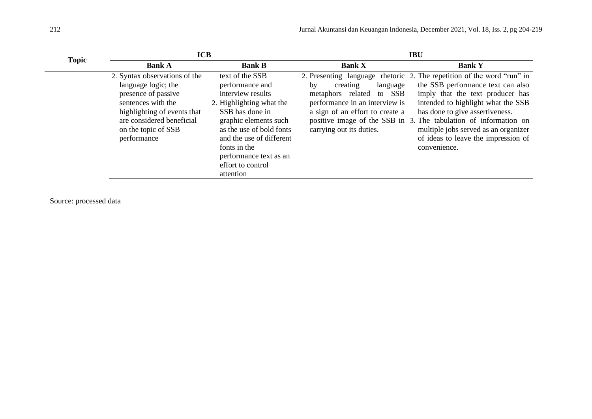| <b>Topic</b> | <b>ICB</b>                                                                                                                                                                                          |                                                                                                                                                                                                                                                                     | <b>IBU</b>                                                                                                                                                    |                                                                                                                                                                                                                                                                                                                                                                                             |  |
|--------------|-----------------------------------------------------------------------------------------------------------------------------------------------------------------------------------------------------|---------------------------------------------------------------------------------------------------------------------------------------------------------------------------------------------------------------------------------------------------------------------|---------------------------------------------------------------------------------------------------------------------------------------------------------------|---------------------------------------------------------------------------------------------------------------------------------------------------------------------------------------------------------------------------------------------------------------------------------------------------------------------------------------------------------------------------------------------|--|
|              | <b>Bank A</b>                                                                                                                                                                                       | <b>Bank B</b>                                                                                                                                                                                                                                                       | <b>Bank X</b>                                                                                                                                                 | <b>Bank Y</b>                                                                                                                                                                                                                                                                                                                                                                               |  |
|              | 2. Syntax observations of the<br>language logic; the<br>presence of passive<br>sentences with the<br>highlighting of events that<br>are considered beneficial<br>on the topic of SSB<br>performance | text of the SSB<br>performance and<br>interview results<br>2. Highlighting what the<br>SSB has done in<br>graphic elements such<br>as the use of bold fonts<br>and the use of different<br>fonts in the<br>performance text as an<br>effort to control<br>attention | creating<br>language<br>by<br>SSB<br>metaphors related<br>to<br>performance in an interview is<br>a sign of an effort to create a<br>carrying out its duties. | 2. Presenting language rhetoric 2. The repetition of the word "run" in<br>the SSB performance text can also<br>imply that the text producer has<br>intended to highlight what the SSB<br>has done to give assertiveness.<br>positive image of the SSB in 3. The tabulation of information on<br>multiple jobs served as an organizer<br>of ideas to leave the impression of<br>convenience. |  |

Source: processed data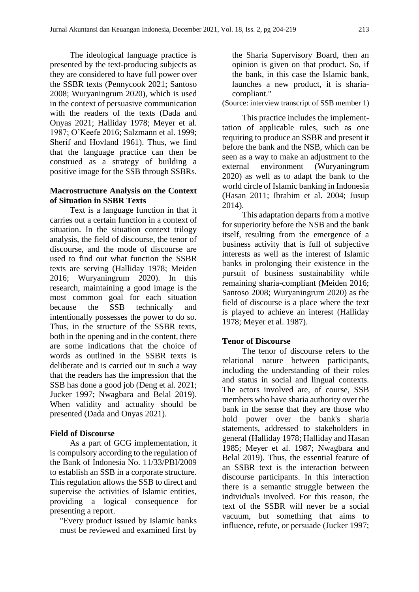The ideological language practice is presented by the text-producing subjects as they are considered to have full power over the SSBR texts (Pennycook 2021; Santoso 2008; Wuryaningrum 2020), which is used in the context of persuasive communication with the readers of the texts (Dada and Onyas 2021; Halliday 1978; Meyer et al. 1987; O'Keefe 2016; Salzmann et al. 1999; Sherif and Hovland 1961). Thus, we find that the language practice can then be construed as a strategy of building a positive image for the SSB through SSBRs.

### **Macrostructure Analysis on the Context of Situation in SSBR Texts**

Text is a language function in that it carries out a certain function in a context of situation. In the situation context trilogy analysis, the field of discourse, the tenor of discourse, and the mode of discourse are used to find out what function the SSBR texts are serving (Halliday 1978; Meiden 2016; Wuryaningrum 2020). In this research, maintaining a good image is the most common goal for each situation because the SSB technically and intentionally possesses the power to do so. Thus, in the structure of the SSBR texts, both in the opening and in the content, there are some indications that the choice of words as outlined in the SSBR texts is deliberate and is carried out in such a way that the readers has the impression that the SSB has done a good job (Deng et al. 2021; Jucker 1997; Nwagbara and Belal 2019). When validity and actuality should be presented (Dada and Onyas 2021).

## **Field of Discourse**

As a part of GCG implementation, it is compulsory according to the regulation of the Bank of Indonesia No. 11/33/PBI/2009 to establish an SSB in a corporate structure. This regulation allows the SSB to direct and supervise the activities of Islamic entities, providing a logical consequence for presenting a report.

"Every product issued by Islamic banks must be reviewed and examined first by the Sharia Supervisory Board, then an opinion is given on that product. So, if the bank, in this case the Islamic bank, launches a new product, it is shariacompliant."

(Source: interview transcript of SSB member 1)

This practice includes the implementtation of applicable rules, such as one requiring to produce an SSBR and present it before the bank and the NSB, which can be seen as a way to make an adjustment to the external environment (Wuryaningrum 2020) as well as to adapt the bank to the world circle of Islamic banking in Indonesia (Hasan 2011; Ibrahim et al. 2004; Jusup 2014).

This adaptation departs from a motive for superiority before the NSB and the bank itself, resulting from the emergence of a business activity that is full of subjective interests as well as the interest of Islamic banks in prolonging their existence in the pursuit of business sustainability while remaining sharia-compliant (Meiden 2016; Santoso 2008; Wuryaningrum 2020) as the field of discourse is a place where the text is played to achieve an interest (Halliday 1978; Meyer et al. 1987).

#### **Tenor of Discourse**

The tenor of discourse refers to the relational nature between participants, including the understanding of their roles and status in social and lingual contexts. The actors involved are, of course, SSB members who have sharia authority over the bank in the sense that they are those who hold power over the bank's sharia statements, addressed to stakeholders in general (Halliday 1978; Halliday and Hasan 1985; Meyer et al. 1987; Nwagbara and Belal 2019). Thus, the essential feature of an SSBR text is the interaction between discourse participants. In this interaction there is a semantic struggle between the individuals involved. For this reason, the text of the SSBR will never be a social vacuum, but something that aims to influence, refute, or persuade (Jucker 1997;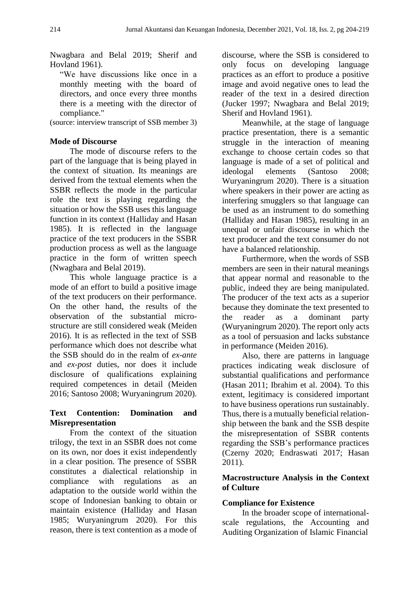Nwagbara and Belal 2019; Sherif and Hovland 1961).

"We have discussions like once in a monthly meeting with the board of directors, and once every three months there is a meeting with the director of compliance."

(source: interview transcript of SSB member 3)

# **Mode of Discourse**

The mode of discourse refers to the part of the language that is being played in the context of situation. Its meanings are derived from the textual elements when the SSBR reflects the mode in the particular role the text is playing regarding the situation or how the SSB uses this language function in its context (Halliday and Hasan 1985). It is reflected in the language practice of the text producers in the SSBR production process as well as the language practice in the form of written speech (Nwagbara and Belal 2019).

This whole language practice is a mode of an effort to build a positive image of the text producers on their performance. On the other hand, the results of the observation of the substantial microstructure are still considered weak (Meiden 2016). It is as reflected in the text of SSB performance which does not describe what the SSB should do in the realm of *ex-ante* and *ex-post* duties, nor does it include disclosure of qualifications explaining required competences in detail (Meiden 2016; Santoso 2008; Wuryaningrum 2020).

# **Text Contention: Domination and Misrepresentation**

From the context of the situation trilogy, the text in an SSBR does not come on its own, nor does it exist independently in a clear position. The presence of SSBR constitutes a dialectical relationship in compliance with regulations as an adaptation to the outside world within the scope of Indonesian banking to obtain or maintain existence (Halliday and Hasan 1985; Wuryaningrum 2020). For this reason, there is text contention as a mode of discourse, where the SSB is considered to only focus on developing language practices as an effort to produce a positive image and avoid negative ones to lead the reader of the text in a desired direction (Jucker 1997; Nwagbara and Belal 2019; Sherif and Hovland 1961).

Meanwhile, at the stage of language practice presentation, there is a semantic struggle in the interaction of meaning exchange to choose certain codes so that language is made of a set of political and ideologal elements (Santoso 2008; Wuryaningrum 2020). There is a situation where speakers in their power are acting as interfering smugglers so that language can be used as an instrument to do something (Halliday and Hasan 1985), resulting in an unequal or unfair discourse in which the text producer and the text consumer do not have a balanced relationship.

Furthermore, when the words of SSB members are seen in their natural meanings that appear normal and reasonable to the public, indeed they are being manipulated. The producer of the text acts as a superior because they dominate the text presented to the reader as a dominant party (Wuryaningrum 2020). The report only acts as a tool of persuasion and lacks substance in performance (Meiden 2016).

Also, there are patterns in language practices indicating weak disclosure of substantial qualifications and performance (Hasan 2011; Ibrahim et al. 2004). To this extent, legitimacy is considered important to have business operations run sustainably. Thus, there is a mutually beneficial relationship between the bank and the SSB despite the misrepresentation of SSBR contents regarding the SSB's performance practices (Czerny 2020; Endraswati 2017; Hasan 2011).

# **Macrostructure Analysis in the Context of Culture**

# **Compliance for Existence**

In the broader scope of internationalscale regulations, the Accounting and Auditing Organization of Islamic Financial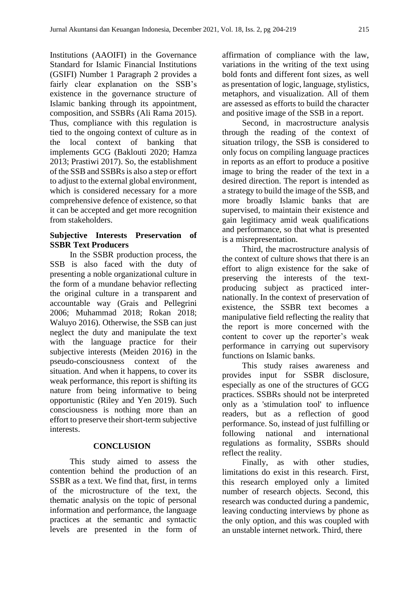Institutions (AAOIFI) in the Governance Standard for Islamic Financial Institutions (GSIFI) Number 1 Paragraph 2 provides a fairly clear explanation on the SSB's existence in the governance structure of Islamic banking through its appointment, composition, and SSBRs (Ali Rama 2015). Thus, compliance with this regulation is tied to the ongoing context of culture as in the local context of banking that implements GCG (Baklouti 2020; Hamza 2013; Prastiwi 2017). So, the establishment of the SSB and SSBRs is also a step or effort to adjust to the external global environment, which is considered necessary for a more comprehensive defence of existence, so that it can be accepted and get more recognition from stakeholders.

# **Subjective Interests Preservation of SSBR Text Producers**

In the SSBR production process, the SSB is also faced with the duty of presenting a noble organizational culture in the form of a mundane behavior reflecting the original culture in a transparent and accountable way (Grais and Pellegrini 2006; Muhammad 2018; Rokan 2018; Waluyo 2016). Otherwise, the SSB can just neglect the duty and manipulate the text with the language practice for their subjective interests (Meiden 2016) in the pseudo-consciousness context of the situation. And when it happens, to cover its weak performance, this report is shifting its nature from being informative to being opportunistic (Riley and Yen 2019). Such consciousness is nothing more than an effort to preserve their short-term subjective interests.

# **CONCLUSION**

This study aimed to assess the contention behind the production of an SSBR as a text. We find that, first, in terms of the microstructure of the text, the thematic analysis on the topic of personal information and performance, the language practices at the semantic and syntactic levels are presented in the form of affirmation of compliance with the law, variations in the writing of the text using bold fonts and different font sizes, as well as presentation of logic, language, stylistics, metaphors, and visualization. All of them are assessed as efforts to build the character and positive image of the SSB in a report.

Second, in macrostructure analysis through the reading of the context of situation trilogy, the SSB is considered to only focus on compiling language practices in reports as an effort to produce a positive image to bring the reader of the text in a desired direction. The report is intended as a strategy to build the image of the SSB, and more broadly Islamic banks that are supervised, to maintain their existence and gain legitimacy amid weak qualifications and performance, so that what is presented is a misrepresentation.

Third, the macrostructure analysis of the context of culture shows that there is an effort to align existence for the sake of preserving the interests of the textproducing subject as practiced internationally. In the context of preservation of existence, the SSBR text becomes a manipulative field reflecting the reality that the report is more concerned with the content to cover up the reporter's weak performance in carrying out supervisory functions on Islamic banks.

This study raises awareness and provides input for SSBR disclosure, especially as one of the structures of GCG practices. SSBRs should not be interpreted only as a 'stimulation tool' to influence readers, but as a reflection of good performance. So, instead of just fulfilling or following national and international regulations as formality, SSBRs should reflect the reality.

Finally, as with other studies, limitations do exist in this research. First, this research employed only a limited number of research objects. Second, this research was conducted during a pandemic, leaving conducting interviews by phone as the only option, and this was coupled with an unstable internet network. Third, there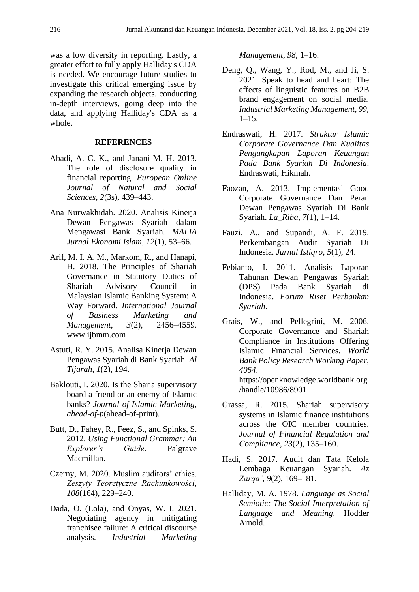was a low diversity in reporting. Lastly, a greater effort to fully apply Halliday's CDA is needed. We encourage future studies to investigate this critical emerging issue by expanding the research objects, conducting in-depth interviews, going deep into the data, and applying Halliday's CDA as a whole.

#### **REFERENCES**

- Abadi, A. C. K., and Janani M. H. 2013. The role of disclosure quality in financial reporting. *European Online Journal of Natural and Social Sciences*, *2*(3s), 439–443.
- Ana Nurwakhidah. 2020. Analisis Kinerja Dewan Pengawas Syariah dalam Mengawasi Bank Syariah. *MALIA Jurnal Ekonomi Islam*, *12*(1), 53–66.
- Arif, M. I. A. M., Markom, R., and Hanapi, H. 2018. The Principles of Shariah Governance in Statutory Duties of Shariah Advisory Council in Malaysian Islamic Banking System: A Way Forward. *International Journal of Business Marketing and Management*, *3*(2), 2456–4559. www.ijbmm.com
- Astuti, R. Y. 2015. Analisa Kinerja Dewan Pengawas Syariah di Bank Syariah. *Al Tijarah*, *1*(2), 194.
- Baklouti, I. 2020. Is the Sharia supervisory board a friend or an enemy of Islamic banks? *Journal of Islamic Marketing*, *ahead*-*of*-*p*(ahead-of-print).
- Butt, D., Fahey, R., Feez, S., and Spinks, S. 2012. *Using Functional Grammar: An Explorer's Guide*. Palgrave Macmillan.
- Czerny, M. 2020. Muslim auditors' ethics. *Zeszyty Teoretyczne Rachunkowości*, *108*(164), 229–240.
- Dada, O. (Lola), and Onyas, W. I. 2021. Negotiating agency in mitigating franchisee failure: A critical discourse analysis. *Industrial Marketing*

*Management*, *98*, 1–16.

- Deng, Q., Wang, Y., Rod, M., and Ji, S. 2021. Speak to head and heart: The effects of linguistic features on B2B brand engagement on social media. *Industrial Marketing Management*, *99*,  $1-15.$
- Endraswati, H. 2017. *Struktur Islamic Corporate Governance Dan Kualitas Pengungkapan Laporan Keuangan Pada Bank Syariah Di Indonesia*. Endraswati, Hikmah.
- Faozan, A. 2013. Implementasi Good Corporate Governance Dan Peran Dewan Pengawas Syariah Di Bank Syariah. *La\_Riba*, *7*(1), 1–14.
- Fauzi, A., and Supandi, A. F. 2019. Perkembangan Audit Syariah Di Indonesia. *Jurnal Istiqro*, *5*(1), 24.
- Febianto, I. 2011. Analisis Laporan Tahunan Dewan Pengawas Syariah (DPS) Pada Bank Syariah di Indonesia. *Forum Riset Perbankan Syariah*.
- Grais, W., and Pellegrini, M. 2006. Corporate Governance and Shariah Compliance in Institutions Offering Islamic Financial Services. *World Bank Policy Research Working Paper*, *4054*. https://openknowledge.worldbank.org /handle/10986/8901
- Grassa, R. 2015. Shariah supervisory systems in Islamic finance institutions across the OIC member countries. *Journal of Financial Regulation and Compliance*, *23*(2), 135–160.
- Hadi, S. 2017. Audit dan Tata Kelola Lembaga Keuangan Syariah. *Az Zarqa'*, *9*(2), 169–181.
- Halliday, M. A. 1978. *Language as Social Semiotic: The Social Interpretation of Language and Meaning*. Hodder Arnold.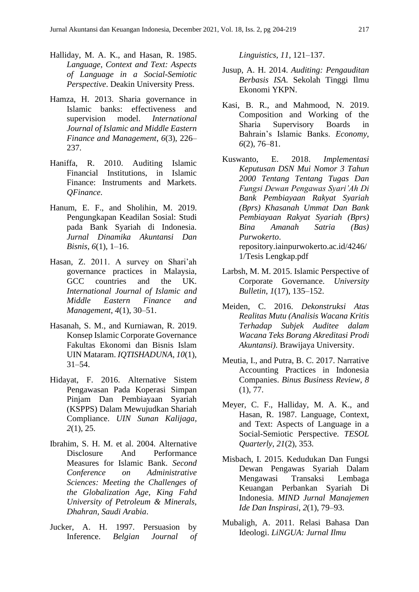- Halliday, M. A. K., and Hasan, R. 1985. *Language, Context and Text: Aspects of Language in a Social-Semiotic Perspective*. Deakin University Press.
- Hamza, H. 2013. Sharia governance in Islamic banks: effectiveness and supervision model. *International Journal of Islamic and Middle Eastern Finance and Management*, *6*(3), 226– 237.
- Haniffa, R. 2010. Auditing Islamic Financial Institutions, in Islamic Finance: Instruments and Markets. *QFinance*.
- Hanum, E. F., and Sholihin, M. 2019. Pengungkapan Keadilan Sosial: Studi pada Bank Syariah di Indonesia. *Jurnal Dinamika Akuntansi Dan Bisnis*, *6*(1), 1–16.
- Hasan, Z. 2011. A survey on Shari'ah governance practices in Malaysia, GCC countries and the UK. *International Journal of Islamic and Middle Eastern Finance and Management*, *4*(1), 30–51.
- Hasanah, S. M., and Kurniawan, R. 2019. Konsep Islamic Corporate Governance Fakultas Ekonomi dan Bisnis Islam UIN Mataram. *IQTISHADUNA*, *10*(1), 31–54.
- Hidayat, F. 2016. Alternative Sistem Pengawasan Pada Koperasi Simpan Pinjam Dan Pembiayaan Syariah (KSPPS) Dalam Mewujudkan Shariah Compliance. *UIN Sunan Kalijaga*, *2*(1), 25.
- Ibrahim, S. H. M. et al. 2004. Alternative Disclosure And Performance Measures for Islamic Bank. *Second Conference on Administrative Sciences: Meeting the Challenges of the Globalization Age, King Fahd University of Petroleum & Minerals, Dhahran, Saudi Arabia*.
- Jucker, A. H. 1997. Persuasion by Inference. *Belgian Journal of*

*Linguistics*, *11*, 121–137.

- Jusup, A. H. 2014. *Auditing: Pengauditan Berbasis ISA*. Sekolah Tinggi Ilmu Ekonomi YKPN.
- Kasi, B. R., and Mahmood, N. 2019. Composition and Working of the Sharia Supervisory Boards in Bahrain's Islamic Banks. *Economy*, *6*(2), 76–81.
- Kuswanto, E. 2018. *Implementasi Keputusan DSN Mui Nomor 3 Tahun 2000 Tentang Tentang Tugas Dan Fungsi Dewan Pengawas Syari'Ah Di Bank Pembiayaan Rakyat Syariah (Bprs) Khasanah Ummat Dan Bank Pembiayaan Rakyat Syariah (Bprs) Bina Amanah Satria (Bas) Purwokerto*. repository.iainpurwokerto.ac.id/4246/ 1/Tesis Lengkap.pdf
- Larbsh, M. M. 2015. Islamic Perspective of Corporate Governance. *University Bulletin*, *1*(17), 135–152.
- Meiden, C. 2016. *Dekonstruksi Atas Realitas Mutu (Analisis Wacana Kritis Terhadap Subjek Auditee dalam Wacana Teks Borang Akreditasi Prodi Akuntansi)*. Brawijaya University.
- Meutia, I., and Putra, B. C. 2017. Narrative Accounting Practices in Indonesia Companies. *Binus Business Review*, *8* (1), 77.
- Meyer, C. F., Halliday, M. A. K., and Hasan, R. 1987. Language, Context, and Text: Aspects of Language in a Social-Semiotic Perspective. *TESOL Quarterly*, *21*(2), 353.
- Misbach, I. 2015. Kedudukan Dan Fungsi Dewan Pengawas Syariah Dalam Mengawasi Transaksi Lembaga Keuangan Perbankan Syariah Di Indonesia. *MIND Jurnal Manajemen Ide Dan Inspirasi*, *2*(1), 79–93.
- Mubaligh, A. 2011. Relasi Bahasa Dan Ideologi. *LiNGUA: Jurnal Ilmu*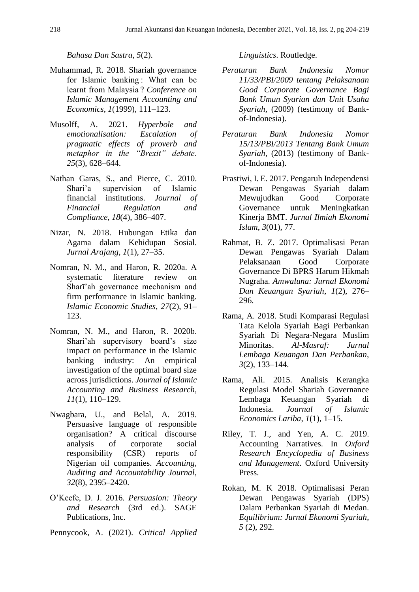*Bahasa Dan Sastra*, *5*(2).

- Muhammad, R. 2018. Shariah governance for Islamic banking : What can be learnt from Malaysia ? *Conference on Islamic Management Accounting and Economics*, *1*(1999), 111–123.
- Musolff, A. 2021. *Hyperbole and emotionalisation: Escalation of pragmatic effects of proverb and metaphor in the "Brexit" debate*. *25*(3), 628–644.
- Nathan Garas, S., and Pierce, C. 2010. Shari'a supervision of Islamic financial institutions. *Journal of Financial Regulation and Compliance*, *18*(4), 386–407.
- Nizar, N. 2018. Hubungan Etika dan Agama dalam Kehidupan Sosial. *Jurnal Arajang*, *1*(1), 27–35.
- Nomran, N. M., and Haron, R. 2020a. A systematic literature review on Sharī'ah governance mechanism and firm performance in Islamic banking. *Islamic Economic Studies*, *27*(2), 91– 123.
- Nomran, N. M., and Haron, R. 2020b. Shari'ah supervisory board's size impact on performance in the Islamic banking industry: An empirical investigation of the optimal board size across jurisdictions. *Journal of Islamic Accounting and Business Research*, *11*(1), 110–129.
- Nwagbara, U., and Belal, A. 2019. Persuasive language of responsible organisation? A critical discourse analysis of corporate social responsibility (CSR) reports of Nigerian oil companies. *Accounting, Auditing and Accountability Journal*, *32*(8), 2395–2420.
- O'Keefe, D. J. 2016. *Persuasion: Theory and Research* (3rd ed.). SAGE Publications, Inc.
- Pennycook, A. (2021). *Critical Applied*

*Linguistics*. Routledge.

- *Peraturan Bank Indonesia Nomor 11/33/PBI/2009 tentang Pelaksanaan Good Corporate Governance Bagi Bank Umun Syarian dan Unit Usaha Syariah*, (2009) (testimony of Bankof-Indonesia).
- *Peraturan Bank Indonesia Nomor 15/13/PBI/2013 Tentang Bank Umum Syariah*, (2013) (testimony of Bankof-Indonesia).
- Prastiwi, I. E. 2017. Pengaruh Independensi Dewan Pengawas Syariah dalam Mewujudkan Good Corporate Governance untuk Meningkatkan Kinerja BMT. *Jurnal Ilmiah Ekonomi Islam*, *3*(01), 77.
- Rahmat, B. Z. 2017. Optimalisasi Peran Dewan Pengawas Syariah Dalam Pelaksanaan Good Corporate Governance Di BPRS Harum Hikmah Nugraha. *Amwaluna: Jurnal Ekonomi Dan Keuangan Syariah*, *1*(2), 276– 296.
- Rama, A. 2018. Studi Komparasi Regulasi Tata Kelola Syariah Bagi Perbankan Syariah Di Negara-Negara Muslim Minoritas. *Al-Masraf: Jurnal Lembaga Keuangan Dan Perbankan*, *3*(2), 133–144.
- Rama, Ali. 2015. Analisis Kerangka Regulasi Model Shariah Governance Lembaga Keuangan Syariah di Indonesia. *Journal of Islamic Economics Lariba*, *1*(1), 1–15.
- Riley, T. J., and Yen, A. C. 2019. Accounting Narratives. In *Oxford Research Encyclopedia of Business and Management*. Oxford University Press.
- Rokan, M. K 2018. Optimalisasi Peran Dewan Pengawas Syariah (DPS) Dalam Perbankan Syariah di Medan. *Equilibrium: Jurnal Ekonomi Syariah*, *5* (2), 292.